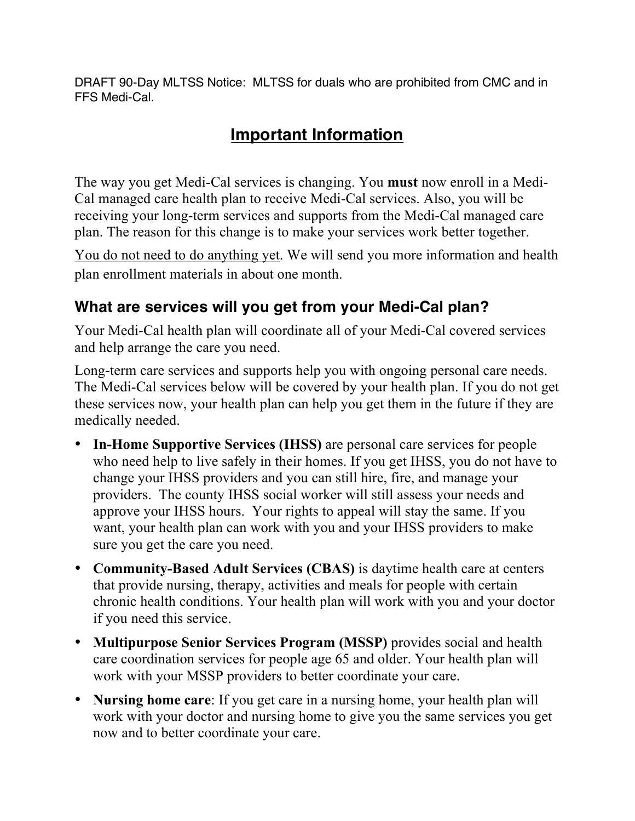DRAFT 90-Day MLTSS Notice: MLTSS for duals who are prohibited from CMC and in FFS Medi-Cal.

# **Important Information**

The way you get Medi-Cal services is changing. You **must** now enroll in a Medi-Cal managed care health plan to receive Medi-Cal services. Also, you will be receiving your long-term services and supports from the Medi-Cal managed care plan. The reason for this change is to make your services work better together.

You do not need to do anything yet. We will send you more information and health plan enrollment materials in about one month.

#### **What are services will you get from your Medi-Cal plan?**

Your Medi-Cal health plan will coordinate all of your Medi-Cal covered services and help arrange the care you need.

Long-term care services and supports help you with ongoing personal care needs. The Medi-Cal services below will be covered by your health plan. If you do not get these services now, your health plan can help you get them in the future if they are medically needed.

- **In-Home Supportive Services (IHSS)** are personal care services for people who need help to live safely in their homes. If you get IHSS, you do not have to change your IHSS providers and you can still hire, fire, and manage your providers. The county IHSS social worker will still assess your needs and approve your IHSS hours. Your rights to appeal will stay the same. If you want, your health plan can work with you and your IHSS providers to make sure you get the care you need.
- **Community-Based Adult Services (CBAS)** is daytime health care at centers that provide nursing, therapy, activities and meals for people with certain chronic health conditions. Your health plan will work with you and your doctor if you need this service.
- **Multipurpose Senior Services Program (MSSP)** provides social and health care coordination services for people age 65 and older. Your health plan will work with your MSSP providers to better coordinate your care.
- **Nursing home care**: If you get care in a nursing home, your health plan will work with your doctor and nursing home to give you the same services you get now and to better coordinate your care.